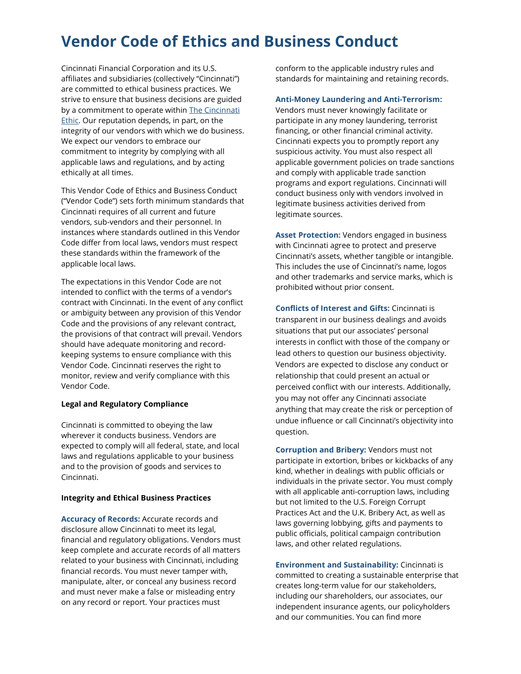# Vendor Code of Ethics and Business Conduct

Cincinnati Financial Corporation and its U.S. affiliates and subsidiaries (collectively "Cincinnati") are committed to ethical business practices. We strive to ensure that business decisions are guided by a commitment to operate within [The Cincinnati](https://www.cinfin.com/-/media/files/about-us/cincinnati-ethic.ashx?la=en&hash=C271A4DAB5B887E3DEA76ED2F0586CB3A79793E0)  [Ethic](https://www.cinfin.com/-/media/files/about-us/cincinnati-ethic.ashx?la=en&hash=C271A4DAB5B887E3DEA76ED2F0586CB3A79793E0). Our reputation depends, in part, on the integrity of our vendors with which we do business. We expect our vendors to embrace our commitment to integrity by complying with all applicable laws and regulations, and by acting ethically at all times.

This Vendor Code of Ethics and Business Conduct ("Vendor Code") sets forth minimum standards that Cincinnati requires of all current and future vendors, sub-vendors and their personnel. In instances where standards outlined in this Vendor Code differ from local laws, vendors must respect these standards within the framework of the applicable local laws.

The expectations in this Vendor Code are not intended to conflict with the terms of a vendor's contract with Cincinnati. In the event of any conflict or ambiguity between any provision of this Vendor Code and the provisions of any relevant contract, the provisions of that contract will prevail. Vendors should have adequate monitoring and recordkeeping systems to ensure compliance with this Vendor Code. Cincinnati reserves the right to monitor, review and verify compliance with this Vendor Code.

### Legal and Regulatory Compliance

Cincinnati is committed to obeying the law wherever it conducts business. Vendors are expected to comply will all federal, state, and local laws and regulations applicable to your business and to the provision of goods and services to Cincinnati.

# Integrity and Ethical Business Practices

Accuracy of Records: Accurate records and disclosure allow Cincinnati to meet its legal, financial and regulatory obligations. Vendors must keep complete and accurate records of all matters related to your business with Cincinnati, including financial records. You must never tamper with, manipulate, alter, or conceal any business record and must never make a false or misleading entry on any record or report. Your practices must

conform to the applicable industry rules and standards for maintaining and retaining records.

## Anti-Money Laundering and Anti-Terrorism:

Vendors must never knowingly facilitate or participate in any money laundering, terrorist financing, or other financial criminal activity. Cincinnati expects you to promptly report any suspicious activity. You must also respect all applicable government policies on trade sanctions and comply with applicable trade sanction programs and export regulations. Cincinnati will conduct business only with vendors involved in legitimate business activities derived from legitimate sources.

Asset Protection: Vendors engaged in business with Cincinnati agree to protect and preserve Cincinnati's assets, whether tangible or intangible. This includes the use of Cincinnati's name, logos and other trademarks and service marks, which is prohibited without prior consent.

Conflicts of Interest and Gifts: Cincinnati is transparent in our business dealings and avoids situations that put our associates' personal interests in conflict with those of the company or lead others to question our business objectivity. Vendors are expected to disclose any conduct or relationship that could present an actual or perceived conflict with our interests. Additionally, you may not offer any Cincinnati associate anything that may create the risk or perception of undue influence or call Cincinnati's objectivity into question.

Corruption and Bribery: Vendors must not participate in extortion, bribes or kickbacks of any kind, whether in dealings with public officials or individuals in the private sector. You must comply with all applicable anti-corruption laws, including but not limited to the U.S. Foreign Corrupt Practices Act and the U.K. Bribery Act, as well as laws governing lobbying, gifts and payments to public officials, political campaign contribution laws, and other related regulations.

Environment and Sustainability: Cincinnati is committed to creating a sustainable enterprise that creates long-term value for our stakeholders, including our shareholders, our associates, our independent insurance agents, our policyholders and our communities. You can find more